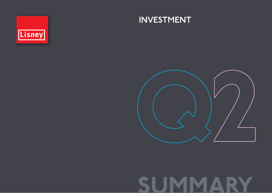

### INVESTMENT



# SUMMARY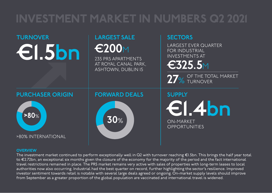### INVESTMENT MARKET IN NUMBERS Q2 2021



### **OVERVIEW**

The investment market continued to perform exceptionally well in Q2 with turnover reaching €1.5bn. This brings the half year total to €2.72bn, an exceptional six months given the closure of the economy for the majority of the period and the fact international travel restrictions remained in place. The PRS market remains very active with sales of properties with long-term leases to local authorities now also occurring. Industrial had the best quarter on record, further highlighting the sector's resilience. Improved investor sentiment towards retail is notable with several large deals agreed or ongoing. On-market supply levels should improve from September as a greater proportion of the global population are vaccinated and international travel is widened.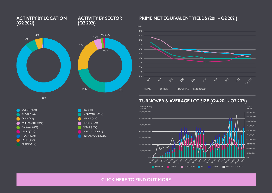### [CLICK HERE TO FIND OUT MORE](https://lisney.com/advisory-valuations-and-research/q2-investment-2021/)





ACTIVITY BY LOCATION

(Q2 2021)



ACTIVITY BY SECTOR

(Q2 2021)

### PRIME NET EQUIVALENT YIELDS (2011 – Q2 2021)